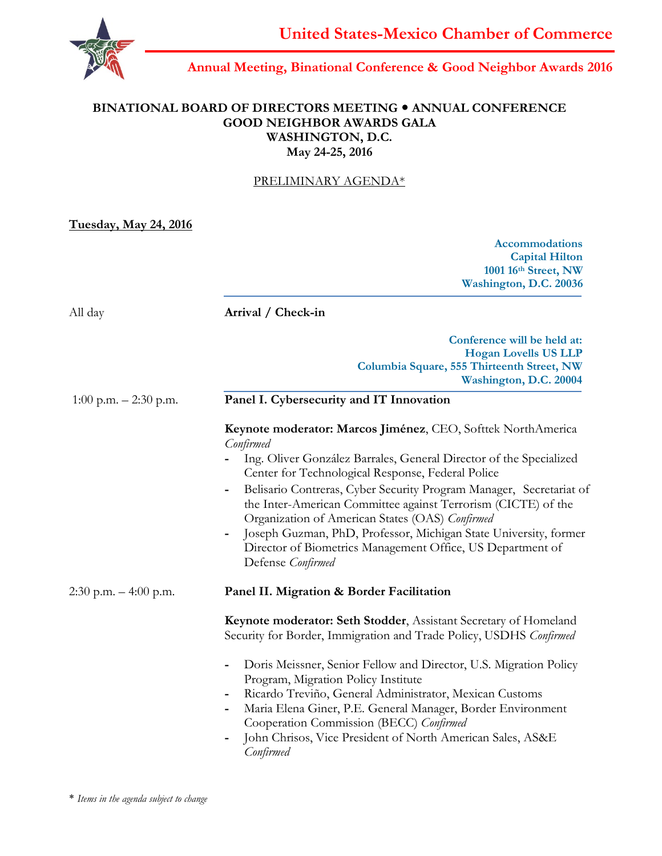

# **Annual Meeting, Binational Conference & Good Neighbor Awards 2016**

### **BINATIONAL BOARD OF DIRECTORS MEETING ANNUAL CONFERENCE GOOD NEIGHBOR AWARDS GALA WASHINGTON, D.C. May 24-25, 2016**

### PRELIMINARY AGENDA\*

**Tuesday, May 24, 2016**

**Accommodations Capital Hilton 1001 16th Street, NW Washington, D.C. 20036**

| All day                  | Arrival / Check-in                                                                                                                                                                                                                                                                                                                                                                                                                                                                                                                                                                     |
|--------------------------|----------------------------------------------------------------------------------------------------------------------------------------------------------------------------------------------------------------------------------------------------------------------------------------------------------------------------------------------------------------------------------------------------------------------------------------------------------------------------------------------------------------------------------------------------------------------------------------|
|                          | Conference will be held at:<br><b>Hogan Lovells US LLP</b><br>Columbia Square, 555 Thirteenth Street, NW<br>Washington, D.C. 20004                                                                                                                                                                                                                                                                                                                                                                                                                                                     |
| 1:00 p.m. $- 2:30$ p.m.  | Panel I. Cybersecurity and IT Innovation                                                                                                                                                                                                                                                                                                                                                                                                                                                                                                                                               |
|                          | Keynote moderator: Marcos Jiménez, CEO, Softtek NorthAmerica<br>Confirmed<br>Ing. Oliver González Barrales, General Director of the Specialized<br>Center for Technological Response, Federal Police<br>Belisario Contreras, Cyber Security Program Manager, Secretariat of<br>$\qquad \qquad \blacksquare$<br>the Inter-American Committee against Terrorism (CICTE) of the<br>Organization of American States (OAS) Confirmed<br>Joseph Guzman, PhD, Professor, Michigan State University, former<br>Director of Biometrics Management Office, US Department of<br>Defense Confirmed |
| $2:30$ p.m. $-4:00$ p.m. | Panel II. Migration & Border Facilitation                                                                                                                                                                                                                                                                                                                                                                                                                                                                                                                                              |
|                          | Keynote moderator: Seth Stodder, Assistant Secretary of Homeland<br>Security for Border, Immigration and Trade Policy, USDHS Confirmed                                                                                                                                                                                                                                                                                                                                                                                                                                                 |
|                          | Doris Meissner, Senior Fellow and Director, U.S. Migration Policy<br>Program, Migration Policy Institute<br>Ricardo Treviño, General Administrator, Mexican Customs<br>$\blacksquare$<br>Maria Elena Giner, P.E. General Manager, Border Environment<br>Cooperation Commission (BECC) Confirmed<br>John Chrisos, Vice President of North American Sales, AS&E<br>Confirmed                                                                                                                                                                                                             |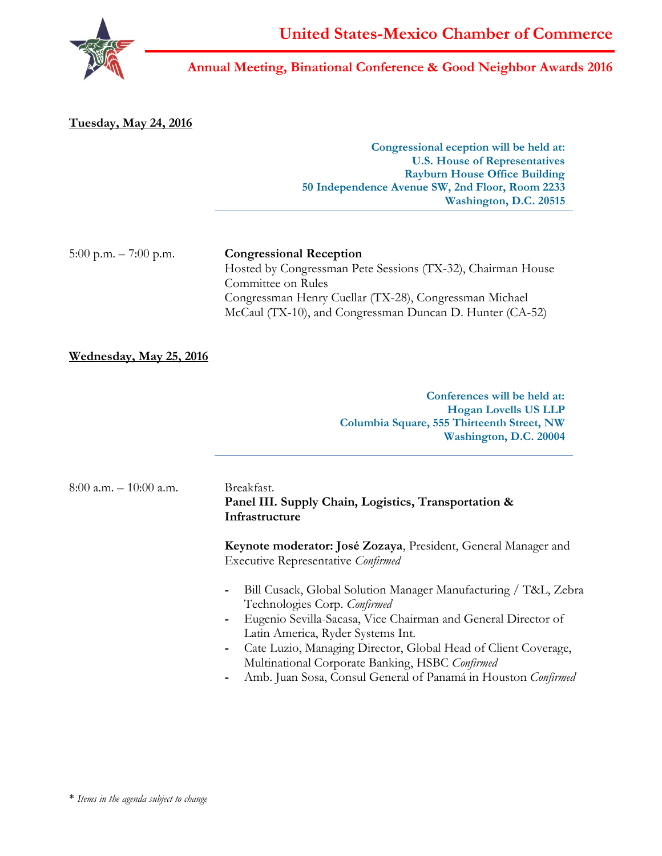

### **Annual Meeting, Binational Conference & Good Neighbor Awards 2016**

**Congressional eception will be held at: U.S. House of Representatives Rayburn House Office Building 50 Independence Avenue SW, 2nd Floor, Room 2233 Washington, D.C. 20515 Tuesday, May 24, 2016** 5:00 p.m. – 7:00 p.m. **Congressional Reception** Hosted by Congressman Pete Sessions (TX-32), Chairman House Committee on Rules Congressman Henry Cuellar (TX-28), Congressman Michael McCaul (TX-10), and Congressman Duncan D. Hunter (CA-52)

#### **Wednesday, May 25, 2016**

**Conferences will be held at: Hogan Lovells US LLP Columbia Square, 555 Thirteenth Street, NW Washington, D.C. 20004**

| $8:00$ a.m. $-10:00$ a.m. | Breakfast.                                                                                             |
|---------------------------|--------------------------------------------------------------------------------------------------------|
|                           | Panel III. Supply Chain, Logistics, Transportation &<br>Infrastructure                                 |
|                           | $\mathbf{V}$ , $\mathbf{1}$ , $\mathbf{I}$ , $\mathbf{V}$ , $\mathbf{V}$ , $\mathbf{V}$ , $\mathbf{V}$ |

**Keynote moderator: José Zozaya**, President, General Manager and Executive Representative *Confirmed*

- **-** Bill Cusack, Global Solution Manager Manufacturing / T&L, Zebra Technologies Corp. *Confirmed*
- **-** Eugenio Sevilla-Sacasa, Vice Chairman and General Director of Latin America, Ryder Systems Int.
- **-** Cate Luzio, Managing Director, Global Head of Client Coverage, Multinational Corporate Banking, HSBC *Confirmed*
- **-** Amb. Juan Sosa, Consul General of Panamá in Houston *Confirmed*